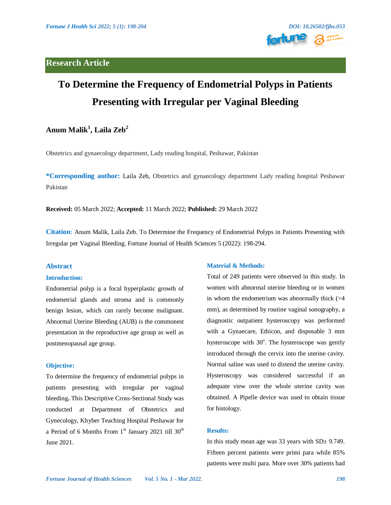# **Research Article**



# **To Determine the Frequency of Endometrial Polyps in Patients Presenting with Irregular per Vaginal Bleeding**

# **Anum Malik1 , Laila Zeb<sup>2</sup>**

Obstetrics and gynaecology department, Lady reading hospital, Peshawar, Pakistan

**\*Corresponding author:** Laila Zeb, Obstetrics and gynaecology department Lady reading hospital Peshawar Pakistan

**Received:** 05 March 2022; **Accepted:** 11 March 2022; **Published:** 29 March 2022

**Citation**: Anum Malik, Laila Zeb. To Determine the Frequency of Endometrial Polyps in Patients Presenting with Irregular per Vaginal Bleeding. Fortune Journal of Health Sciences 5 (2022): 198-294.

## **Abstract**

#### **Introduction:**

Endometrial polyp is a focal hyperplastic growth of endometrial glands and stroma and is commonly benign lesion, which can rarely become malignant. Abnormal Uterine Bleeding (AUB) is the commonest presentation in the reproductive age group as well as postmenopausal age group.

#### **Objective:**

To determine the frequency of endometrial polyps in patients presenting with irregular per vaginal bleeding**.** This Descriptive Cross-Sectional Study was conducted at Department of Obstetrics and Gynecology, Khyber Teaching Hospital Peshawar for a Period of 6 Months From  $1<sup>st</sup>$  January 2021 till  $30<sup>th</sup>$ June 2021.

#### **Material & Methods:**

Total of 249 patients were observed in this study. In women with abnormal uterine bleeding or in women in whom the endometrium was abnormally thick  $(>4)$ mm), as determined by routine vaginal sonography, a diagnostic outpatient hysteroscopy was performed with a Gynaecare, Ethicon, and disposable 3 mm hysteroscope with 30°. The hysteroscope was gently introduced through the cervix into the uterine cavity. Normal saline was used to distend the uterine cavity. Hysteroscopy was considered successful if an adequate view over the whole uterine cavity was obtained. A Pipelle device was used to obtain tissue for histology.

## **Results:**

In this study mean age was 33 years with  $SD<sub>±</sub>$  9.749. Fifteen percent patients were primi para while 85% patients were multi para. More over 30% patients had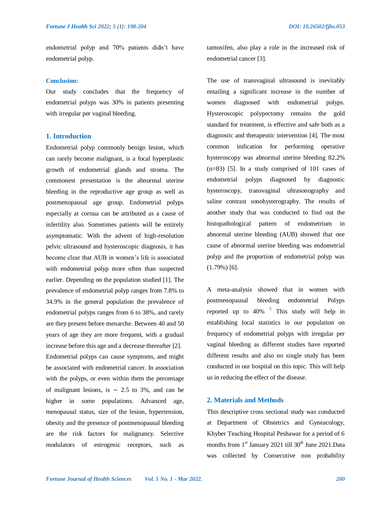endometrial polyp and 70% patients didn't have endometrial polyp.

#### **Conclusion:**

Our study concludes that the frequency of endometrial polyps was 30% in patients presenting with irregular per vaginal bleeding.

## **1. Introduction**

Endometrial polyp commonly benign lesion, which can rarely become malignant, is a focal hyperplastic growth of endometrial glands and stroma. The commonest presentation is the abnormal uterine bleeding in the reproductive age group as well as postmenopausal age group. Endometrial polyps especially at cornua can be attributed as a cause of infertility also. Sometimes patients will be entirely asymptomatic. With the advent of high-resolution pelvic ultrasound and hysteroscopic diagnosis, it has become clear that AUB in women's life is associated with endometrial polyp more often than suspected earlier. Depending on the population studied [1]. The prevalence of endometrial polyp ranges from 7.8% to 34.9% in the general population the prevalence of endometrial polyps ranges from 6 to 38%, and rarely are they present before menarche. Between 40 and 50 years of age they are more frequent, with a gradual increase before this age and a decrease thereafter [2]. Endometrial polyps can cause symptoms, and might be associated with endometrial cancer. In association with the polyps, or even within them the percentage of malignant lesions, is  $\sim$  2.5 to 3%, and can be higher in some populations. Advanced age, menopausal status, size of the lesion, hypertension, obesity and the presence of postmenopausal bleeding are the risk factors for malignancy. Selective modulators of estrogenic receptors, such as

tamoxifen, also play a role in the increased risk of endometrial cancer [3].

The use of transvaginal ultrasound is inevitably entailing a significant increase in the number of women diagnosed with endometrial polyps. Hysteroscopic polypectomy remains the gold standard for treatment, is effective and safe both as a diagnostic and therapeutic intervention [4]. The most common indication for performing operative hysteroscopy was abnormal uterine bleeding 82.2% (n=83) [5]. In a study comprised of 101 cases of endometrial polyps diagnosed by diagnostic hysteroscopy, transvaginal ultrasonography and saline contrast sonohysterography. The results of another study that was conducted to find out the histopathological pattern of endometrium in abnormal uterine bleeding (AUB) showed that one cause of abnormal uterine bleeding was endometrial polyp and the proportion of endometrial polyp was  $(1.79\%)$  [6].

A meta-analysis showed that in women with postmenopausal bleeding endometrial Polyps reported up to  $40\%$ <sup>7.</sup> This study will help in establishing local statistics in our population on frequency of endometrial polyps with irregular per vaginal bleeding as different studies have reported different results and also no single study has been conducted in our hospital on this topic. This will help us in reducing the effect of the disease.

## **2. Materials and Methods**

This descriptive cross sectional study was conducted at Department of Obstetrics and Gyneacology, Khyber Teaching Hospital Peshawar for a period of 6 months from  $1<sup>st</sup>$  January 2021 till 30<sup>th</sup> June 2021.Data was collected by Consecutive non probability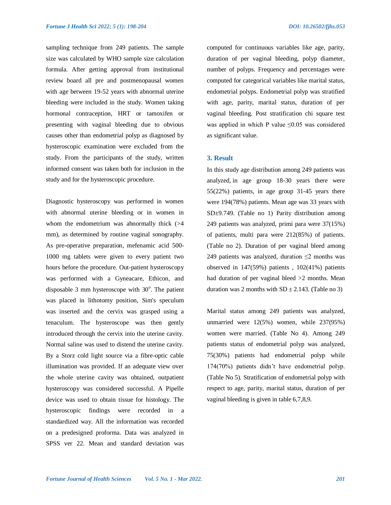sampling technique from 249 patients. The sample size was calculated by WHO sample size calculation formula. After getting approval from institutional review board all pre and postmenopausal women with age between 19-52 years with abnormal uterine bleeding were included in the study. Women taking hormonal contraception, HRT or tamoxifen or presenting with vaginal bleeding due to obvious causes other than endometrial polyp as diagnosed by hysteroscopic examination were excluded from the study. From the participants of the study, written informed consent was taken both for inclusion in the study and for the hysteroscopic procedure.

Diagnostic hysteroscopy was performed in women with abnormal uterine bleeding or in women in whom the endometrium was abnormally thick  $(>4)$ mm), as determined by routine vaginal sonography. As pre-operative preparation, mefenamic acid 500- 1000 mg tablets were given to every patient two hours before the procedure. Out-patient hysteroscopy was performed with a Gyneacare, Ethicon, and disposable 3 mm hysteroscope with  $30^{\circ}$ . The patient was placed in lithotomy position, Sim's speculum was inserted and the cervix was grasped using a tenaculum. The hysteroscope was then gently introduced through the cervix into the uterine cavity. Normal saline was used to distend the uterine cavity. By a Storz cold light source via a fibre-optic cable illumination was provided. If an adequate view over the whole uterine cavity was obtained, outpatient hysteroscopy was considered successful. A Pipelle device was used to obtain tissue for histology. The hysteroscopic findings were recorded in a standardized way. All the information was recorded on a predesigned proforma. Data was analyzed in SPSS ver 22. Mean and standard deviation was

computed for continuous variables like age, parity, duration of per vaginal bleeding, polyp diameter, number of polyps. Frequency and percentages were computed for categorical variables like marital status, endometrial polyps. Endometrial polyp was stratified with age, parity, marital status, duration of per vaginal bleeding. Post stratification chi square test was applied in which P value  $\leq 0.05$  was considered as significant value.

## **3. Result**

In this study age distribution among 249 patients was analyzed, in age group 18-30 years there were 55(22%) patients, in age group 31-45 years there were 194(78%) patients. Mean age was 33 years with SD±9.749. (Table no 1) Parity distribution among 249 patients was analyzed, primi para were 37(15%) of patients, multi para were 212(85%) of patients. (Table no 2). Duration of per vaginal bleed among 249 patients was analyzed, duration  $\leq$ 2 months was observed in 147(59%) patients , 102(41%) patients had duration of per vaginal bleed  $>2$  months. Mean duration was 2 months with  $SD \pm 2.143$ . (Table no 3)

Marital status among 249 patients was analyzed, unmarried were 12(5%) women, while 237(95%) women were married. (Table No 4). Among 249 patients status of endometrial polyp was analyzed, 75(30%) patients had endometrial polyp while 174(70%) patients didn't have endometrial polyp. (Table No 5). Stratification of endometrial polyp with respect to age, parity, marital status, duration of per vaginal bleeding is given in table 6,7,8,9.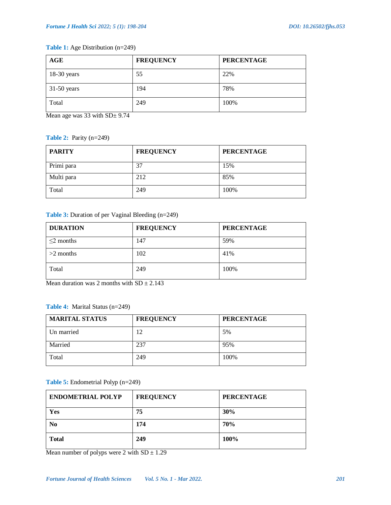## **Table 1:** Age Distribution (n=249)

| AGE           | <b>FREQUENCY</b> | <b>PERCENTAGE</b> |
|---------------|------------------|-------------------|
| $18-30$ years | 55               | 22%               |
| $31-50$ years | 194              | 78%               |
| Total         | 249              | 100%              |

Mean age was 33 with SD $\pm$  9.74

## **Table 2:** Parity (n=249)

| <b>PARITY</b> | <b>FREQUENCY</b> | <b>PERCENTAGE</b> |
|---------------|------------------|-------------------|
| Primi para    | 37               | 15%               |
| Multi para    | 212              | 85%               |
| Total         | 249              | 100%              |

## **Table 3:** Duration of per Vaginal Bleeding (n=249)

| <b>DURATION</b> | <b>FREQUENCY</b> | <b>PERCENTAGE</b> |
|-----------------|------------------|-------------------|
| $\leq$ 2 months | 147              | 59%               |
| $>2$ months     | 102              | 41%               |
| Total           | 249              | 100%              |

Mean duration was 2 months with  $SD \pm 2.143$ 

## **Table 4:** Marital Status (n=249)

| <b>MARITAL STATUS</b> | <b>FREQUENCY</b> | <b>PERCENTAGE</b> |
|-----------------------|------------------|-------------------|
| Un married            | 12               | 5%                |
| Married               | 237              | 95%               |
| Total                 | 249              | 100%              |

## **Table 5:** Endometrial Polyp (n=249)

| <b>ENDOMETRIAL POLYP</b> | <b>FREQUENCY</b> | <b>PERCENTAGE</b> |
|--------------------------|------------------|-------------------|
| Yes                      | 75               | 30%               |
| No                       | 174              | 70%               |
| <b>Total</b>             | 249              | 100%              |

Mean number of polyps were 2 with  $SD \pm 1.29$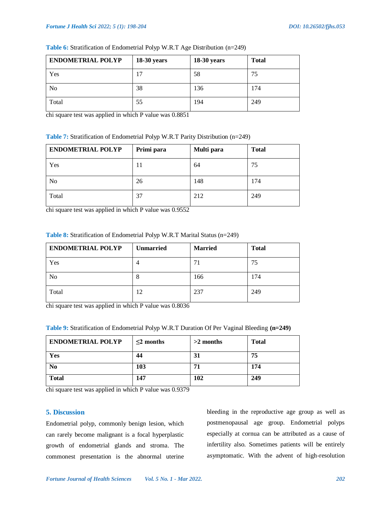| <b>ENDOMETRIAL POLYP</b> | <b>18-30 years</b> | $18-30$ years | <b>Total</b> |
|--------------------------|--------------------|---------------|--------------|
| Yes                      | 17                 | 58            | 75           |
| No                       | 38                 | 136           | 174          |
| Total                    | 55                 | 194           | 249          |

## **Table 6:** Stratification of Endometrial Polyp W.R.T Age Distribution (n=249)

chi square test was applied in which P value was 0.8851

## **Table 7:** Stratification of Endometrial Polyp W.R.T Parity Distribution (n=249)

| <b>ENDOMETRIAL POLYP</b> | Primi para | Multi para | <b>Total</b> |
|--------------------------|------------|------------|--------------|
| Yes                      | 11         | 64         | 75           |
| N <sub>0</sub>           | 26         | 148        | 174          |
| Total                    | 37         | 212        | 249          |

chi square test was applied in which P value was 0.9552

## **Table 8:** Stratification of Endometrial Polyp W.R.T Marital Status (n=249)

| <b>ENDOMETRIAL POLYP</b> | <b>Unmarried</b> | <b>Married</b> | <b>Total</b> |
|--------------------------|------------------|----------------|--------------|
| Yes                      |                  | 71             | 75           |
| N <sub>0</sub>           | Ō                | 166            | 174          |
| Total                    | 12               | 237            | 249          |

chi square test was applied in which P value was 0.8036

| <b>ENDOMETRIAL POLYP</b> | $\leq$ 2 months | $>2$ months | <b>Total</b> |
|--------------------------|-----------------|-------------|--------------|
| Yes                      | 44              | 31          | 75           |
| N <sub>0</sub>           | 103             | 71          | 174          |
| <b>Total</b>             | 147             | 102         | 249          |

chi square test was applied in which P value was 0.9379

## **5. Discussion**

Endometrial polyp, commonly benign lesion, which can rarely become malignant is a focal hyperplastic growth of endometrial glands and stroma. The commonest presentation is the abnormal uterine

bleeding in the reproductive age group as well as postmenopausal age group. Endometrial polyps especially at cornua can be attributed as a cause of infertility also. Sometimes patients will be entirely asymptomatic. With the advent of high-resolution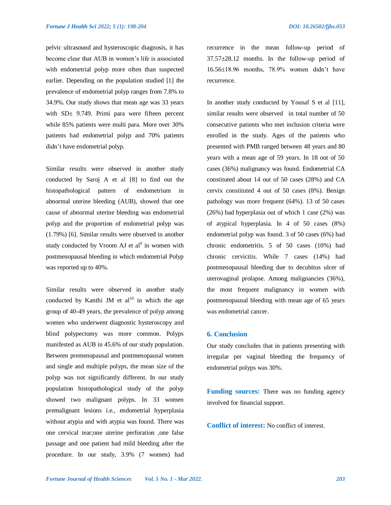pelvic ultrasound and hysteroscopic diagnosis, it has become clear that AUB in women's life is associated with endometrial polyp more often than suspected earlier. Depending on the population studied [1] the prevalence of endometrial polyp ranges from 7.8% to 34.9%. Our study shows that mean age was 33 years with SD<sup>+</sup> 9.749. Primi para were fifteen percent while 85% patients were multi para. More over 30% patients had endometrial polyp and 70% patients didn't have endometrial polyp.

Similar results were observed in another study conducted by Saroj A et al [8] to find out the histopathological pattern of endometrium in abnormal uterine bleeding (AUB), showed that one cause of abnormal uterine bleeding was endometrial polyp and the proportion of endometrial polyp was (1.79%) [6]. Similar results were observed in another study conducted by Vroom AJ et  $al^9$  in women with postmenopausal bleeding in which endometrial Polyp was reported up to 40%.

Similar results were observed in another study conducted by [Kanthi](https://www.ncbi.nlm.nih.gov/pubmed/?term=Kanthi%20JM%5BAuthor%5D&cauthor=true&cauthor_uid=27504357) JM et  $al^{10}$  in which the age group of 40-49 years, the prevalence of polyp among women who underwent diagnostic hysteroscopy and blind polypectomy was more common. Polyps manifested as AUB in 45.6% of our study population. Between premenopausal and postmenopausal women and single and multiple polyps, the mean size of the polyp was not significantly different. In our study population histopathological study of the polyp showed two malignant polyps. In 33 women premalignant lesions i.e., endometrial hyperplasia without atypia and with atypia was found. There was one cervical tear;one uterine perforation ,one false passage and one patient had mild bleeding after the procedure. In our study, 3.9% (7 women) had

recurrence in the mean follow-up period of 37.57±28.12 months. In the follow-up period of 16.56±18.96 months, 78.9% women didn't have recurrence.

In another study conducted by Yousaf S et al [11], similar results were observed in total number of 50 consecutive patients who met inclusion criteria were enrolled in the study. Ages of the patients who presented with PMB ranged between 48 years and 80 years with a mean age of 59 years. In 18 out of 50 cases (36%) malignancy was found. Endometrial CA constituted about 14 out of 50 cases (28%) and CA cervix constituted 4 out of 50 cases (8%). Benign pathology was more frequent (64%). 13 of 50 cases (26%) had hyperplasia out of which 1 case (2%) was of atypical hyperplasia. In 4 of 50 cases (8%) endometrial polyp was found. 3 of 50 cases (6%) had chronic endometritis. 5 of 50 cases (10%) had chronic cervicitis. While 7 cases (14%) had postmenopausal bleeding due to decubitus ulcer of uterovaginal prolapse. Among malignancies (36%), the most frequent malignancy in women with postmenopausal bleeding with mean age of 65 years was endometrial cancer.

#### **6. Conclusion**

Our study concludes that in patients presenting with irregular per vaginal bleeding the frequency of endometrial polyps was 30%.

**Funding sources:** There was no funding agency involved for financial support.

**Conflict of interest:** No conflict of interest.